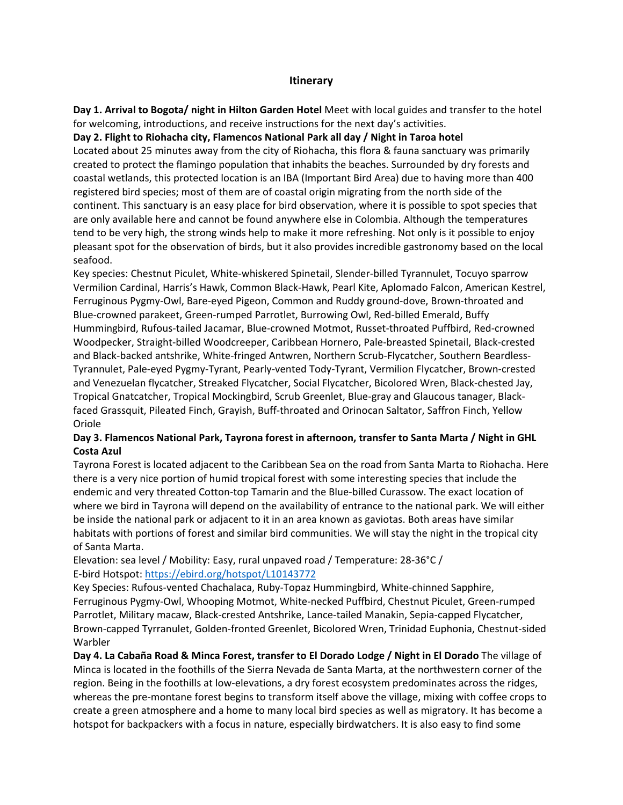## **Itinerary**

**Day 1. Arrival to Bogota/ night in Hilton Garden Hotel** Meet with local guides and transfer to the hotel for welcoming, introductions, and receive instructions for the next day's activities.

## **Day 2. Flight to Riohacha city, Flamencos National Park all day / Night in Taroa hotel**

Located about 25 minutes away from the city of Riohacha, this flora & fauna sanctuary was primarily created to protect the flamingo population that inhabits the beaches. Surrounded by dry forests and coastal wetlands, this protected location is an IBA (Important Bird Area) due to having more than 400 registered bird species; most of them are of coastal origin migrating from the north side of the continent. This sanctuary is an easy place for bird observation, where it is possible to spot species that are only available here and cannot be found anywhere else in Colombia. Although the temperatures tend to be very high, the strong winds help to make it more refreshing. Not only is it possible to enjoy pleasant spot for the observation of birds, but it also provides incredible gastronomy based on the local seafood.

Key species: Chestnut Piculet, White-whiskered Spinetail, Slender-billed Tyrannulet, Tocuyo sparrow Vermilion Cardinal, Harris's Hawk, Common Black-Hawk, Pearl Kite, Aplomado Falcon, American Kestrel, Ferruginous Pygmy-Owl, Bare-eyed Pigeon, Common and Ruddy ground-dove, Brown-throated and Blue-crowned parakeet, Green-rumped Parrotlet, Burrowing Owl, Red-billed Emerald, Buffy Hummingbird, Rufous-tailed Jacamar, Blue-crowned Motmot, Russet-throated Puffbird, Red-crowned Woodpecker, Straight-billed Woodcreeper, Caribbean Hornero, Pale-breasted Spinetail, Black-crested and Black-backed antshrike, White-fringed Antwren, Northern Scrub-Flycatcher, Southern Beardless-Tyrannulet, Pale-eyed Pygmy-Tyrant, Pearly-vented Tody-Tyrant, Vermilion Flycatcher, Brown-crested and Venezuelan flycatcher, Streaked Flycatcher, Social Flycatcher, Bicolored Wren, Black-chested Jay, Tropical Gnatcatcher, Tropical Mockingbird, Scrub Greenlet, Blue-gray and Glaucous tanager, Blackfaced Grassquit, Pileated Finch, Grayish, Buff-throated and Orinocan Saltator, Saffron Finch, Yellow Oriole

# **Day 3. Flamencos National Park, Tayrona forest in afternoon, transfer to Santa Marta / Night in GHL Costa Azul**

Tayrona Forest is located adjacent to the Caribbean Sea on the road from Santa Marta to Riohacha. Here there is a very nice portion of humid tropical forest with some interesting species that include the endemic and very threated Cotton-top Tamarin and the Blue-billed Curassow. The exact location of where we bird in Tayrona will depend on the availability of entrance to the national park. We will either be inside the national park or adjacent to it in an area known as gaviotas. Both areas have similar habitats with portions of forest and similar bird communities. We will stay the night in the tropical city of Santa Marta.

Elevation: sea level / Mobility: Easy, rural unpaved road / Temperature: 28-36°C / E-bird Hotspot:<https://ebird.org/hotspot/L10143772>

Key Species: Rufous-vented Chachalaca, Ruby-Topaz Hummingbird, White-chinned Sapphire, Ferruginous Pygmy-Owl, Whooping Motmot, White-necked Puffbird, Chestnut Piculet, Green-rumped Parrotlet, Military macaw, Black-crested Antshrike, Lance-tailed Manakin, Sepia-capped Flycatcher, Brown-capped Tyrranulet, Golden-fronted Greenlet, Bicolored Wren, Trinidad Euphonia, Chestnut-sided Warbler

**Day 4. La Cabaña Road & Minca Forest, transfer to El Dorado Lodge / Night in El Dorado** The village of Minca is located in the foothills of the Sierra Nevada de Santa Marta, at the northwestern corner of the region. Being in the foothills at low-elevations, a dry forest ecosystem predominates across the ridges, whereas the pre-montane forest begins to transform itself above the village, mixing with coffee crops to create a green atmosphere and a home to many local bird species as well as migratory. It has become a hotspot for backpackers with a focus in nature, especially birdwatchers. It is also easy to find some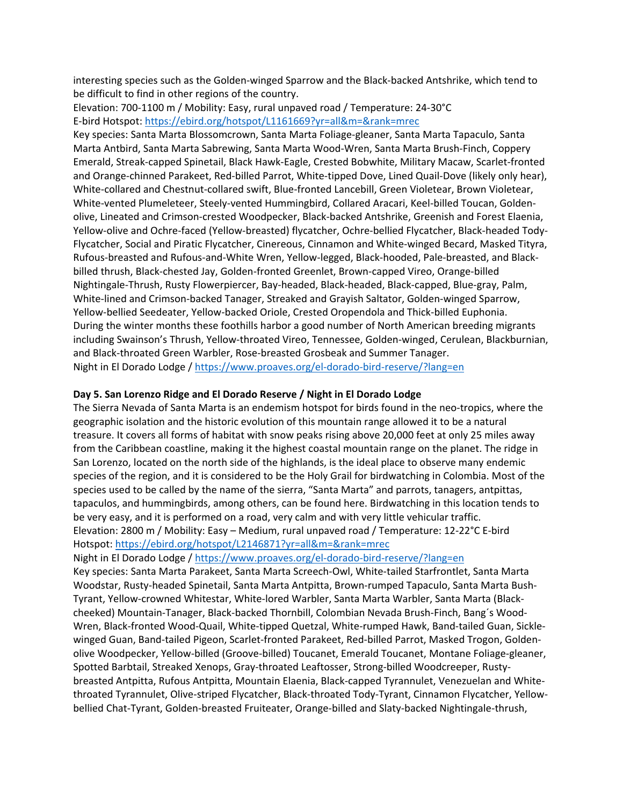interesting species such as the Golden-winged Sparrow and the Black-backed Antshrike, which tend to be difficult to find in other regions of the country.

Elevation: 700-1100 m / Mobility: Easy, rural unpaved road / Temperature: 24-30°C E-bird Hotspot:<https://ebird.org/hotspot/L1161669?yr=all&m=&rank=mrec>

Key species: Santa Marta Blossomcrown, Santa Marta Foliage-gleaner, Santa Marta Tapaculo, Santa Marta Antbird, Santa Marta Sabrewing, Santa Marta Wood-Wren, Santa Marta Brush-Finch, Coppery Emerald, Streak-capped Spinetail, Black Hawk-Eagle, Crested Bobwhite, Military Macaw, Scarlet-fronted and Orange-chinned Parakeet, Red-billed Parrot, White-tipped Dove, Lined Quail-Dove (likely only hear), White-collared and Chestnut-collared swift, Blue-fronted Lancebill, Green Violetear, Brown Violetear, White-vented Plumeleteer, Steely-vented Hummingbird, Collared Aracari, Keel-billed Toucan, Goldenolive, Lineated and Crimson-crested Woodpecker, Black-backed Antshrike, Greenish and Forest Elaenia, Yellow-olive and Ochre-faced (Yellow-breasted) flycatcher, Ochre-bellied Flycatcher, Black-headed Tody-Flycatcher, Social and Piratic Flycatcher, Cinereous, Cinnamon and White-winged Becard, Masked Tityra, Rufous-breasted and Rufous-and-White Wren, Yellow-legged, Black-hooded, Pale-breasted, and Blackbilled thrush, Black-chested Jay, Golden-fronted Greenlet, Brown-capped Vireo, Orange-billed Nightingale-Thrush, Rusty Flowerpiercer, Bay-headed, Black-headed, Black-capped, Blue-gray, Palm, White-lined and Crimson-backed Tanager, Streaked and Grayish Saltator, Golden-winged Sparrow, Yellow-bellied Seedeater, Yellow-backed Oriole, Crested Oropendola and Thick-billed Euphonia. During the winter months these foothills harbor a good number of North American breeding migrants including Swainson's Thrush, Yellow-throated Vireo, Tennessee, Golden-winged, Cerulean, Blackburnian, and Black-throated Green Warbler, Rose-breasted Grosbeak and Summer Tanager. Night in El Dorado Lodge [/ https://www.proaves.org/el-dorado-bird-reserve/?lang=en](https://www.proaves.org/el-dorado-bird-reserve/?lang=en)

#### **Day 5. San Lorenzo Ridge and El Dorado Reserve / Night in El Dorado Lodge**

The Sierra Nevada of Santa Marta is an endemism hotspot for birds found in the neo-tropics, where the geographic isolation and the historic evolution of this mountain range allowed it to be a natural treasure. It covers all forms of habitat with snow peaks rising above 20,000 feet at only 25 miles away from the Caribbean coastline, making it the highest coastal mountain range on the planet. The ridge in San Lorenzo, located on the north side of the highlands, is the ideal place to observe many endemic species of the region, and it is considered to be the Holy Grail for birdwatching in Colombia. Most of the species used to be called by the name of the sierra, "Santa Marta" and parrots, tanagers, antpittas, tapaculos, and hummingbirds, among others, can be found here. Birdwatching in this location tends to be very easy, and it is performed on a road, very calm and with very little vehicular traffic. Elevation: 2800 m / Mobility: Easy – Medium, rural unpaved road / Temperature: 12-22°C E-bird Hotspot:<https://ebird.org/hotspot/L2146871?yr=all&m=&rank=mrec>

Night in El Dorado Lodge [/ https://www.proaves.org/el-dorado-bird-reserve/?lang=en](https://www.proaves.org/el-dorado-bird-reserve/?lang=en)

Key species: Santa Marta Parakeet, Santa Marta Screech-Owl, White-tailed Starfrontlet, Santa Marta Woodstar, Rusty-headed Spinetail, Santa Marta Antpitta, Brown-rumped Tapaculo, Santa Marta Bush-Tyrant, Yellow-crowned Whitestar, White-lored Warbler, Santa Marta Warbler, Santa Marta (Blackcheeked) Mountain-Tanager, Black-backed Thornbill, Colombian Nevada Brush-Finch, Bang´s Wood-Wren, Black-fronted Wood-Quail, White-tipped Quetzal, White-rumped Hawk, Band-tailed Guan, Sicklewinged Guan, Band-tailed Pigeon, Scarlet-fronted Parakeet, Red-billed Parrot, Masked Trogon, Goldenolive Woodpecker, Yellow-billed (Groove-billed) Toucanet, Emerald Toucanet, Montane Foliage-gleaner, Spotted Barbtail, Streaked Xenops, Gray-throated Leaftosser, Strong-billed Woodcreeper, Rustybreasted Antpitta, Rufous Antpitta, Mountain Elaenia, Black-capped Tyrannulet, Venezuelan and Whitethroated Tyrannulet, Olive-striped Flycatcher, Black-throated Tody-Tyrant, Cinnamon Flycatcher, Yellowbellied Chat-Tyrant, Golden-breasted Fruiteater, Orange-billed and Slaty-backed Nightingale-thrush,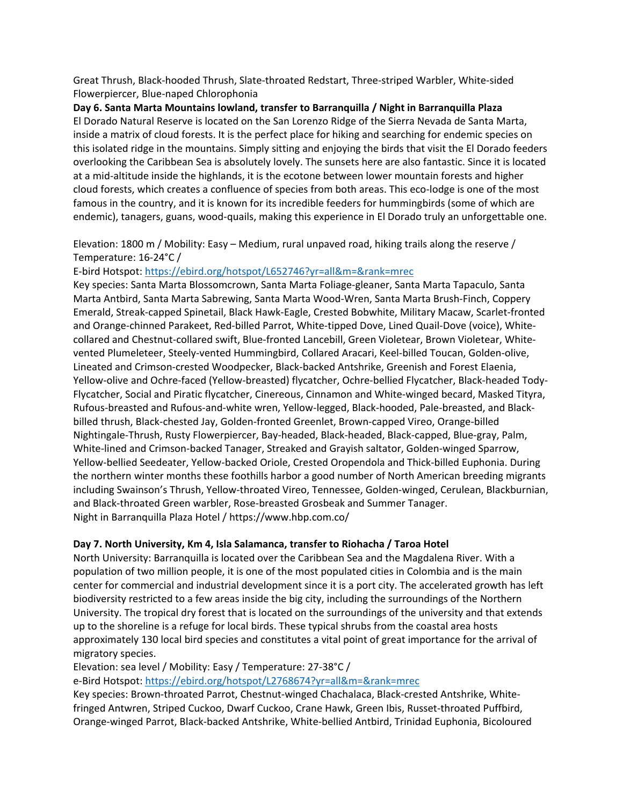Great Thrush, Black-hooded Thrush, Slate-throated Redstart, Three-striped Warbler, White-sided Flowerpiercer, Blue-naped Chlorophonia

**Day 6. Santa Marta Mountains lowland, transfer to Barranquilla / Night in Barranquilla Plaza** El Dorado Natural Reserve is located on the San Lorenzo Ridge of the Sierra Nevada de Santa Marta, inside a matrix of cloud forests. It is the perfect place for hiking and searching for endemic species on this isolated ridge in the mountains. Simply sitting and enjoying the birds that visit the El Dorado feeders overlooking the Caribbean Sea is absolutely lovely. The sunsets here are also fantastic. Since it is located at a mid-altitude inside the highlands, it is the ecotone between lower mountain forests and higher cloud forests, which creates a confluence of species from both areas. This eco-lodge is one of the most famous in the country, and it is known for its incredible feeders for hummingbirds (some of which are endemic), tanagers, guans, wood-quails, making this experience in El Dorado truly an unforgettable one.

Elevation: 1800 m / Mobility: Easy – Medium, rural unpaved road, hiking trails along the reserve / Temperature: 16-24°C /

E-bird Hotspot:<https://ebird.org/hotspot/L652746?yr=all&m=&rank=mrec>

Key species: Santa Marta Blossomcrown, Santa Marta Foliage-gleaner, Santa Marta Tapaculo, Santa Marta Antbird, Santa Marta Sabrewing, Santa Marta Wood-Wren, Santa Marta Brush-Finch, Coppery Emerald, Streak-capped Spinetail, Black Hawk-Eagle, Crested Bobwhite, Military Macaw, Scarlet-fronted and Orange-chinned Parakeet, Red-billed Parrot, White-tipped Dove, Lined Quail-Dove (voice), Whitecollared and Chestnut-collared swift, Blue-fronted Lancebill, Green Violetear, Brown Violetear, Whitevented Plumeleteer, Steely-vented Hummingbird, Collared Aracari, Keel-billed Toucan, Golden-olive, Lineated and Crimson-crested Woodpecker, Black-backed Antshrike, Greenish and Forest Elaenia, Yellow-olive and Ochre-faced (Yellow-breasted) flycatcher, Ochre-bellied Flycatcher, Black-headed Tody-Flycatcher, Social and Piratic flycatcher, Cinereous, Cinnamon and White-winged becard, Masked Tityra, Rufous-breasted and Rufous-and-white wren, Yellow-legged, Black-hooded, Pale-breasted, and Blackbilled thrush, Black-chested Jay, Golden-fronted Greenlet, Brown-capped Vireo, Orange-billed Nightingale-Thrush, Rusty Flowerpiercer, Bay-headed, Black-headed, Black-capped, Blue-gray, Palm, White-lined and Crimson-backed Tanager, Streaked and Grayish saltator, Golden-winged Sparrow, Yellow-bellied Seedeater, Yellow-backed Oriole, Crested Oropendola and Thick-billed Euphonia. During the northern winter months these foothills harbor a good number of North American breeding migrants including Swainson's Thrush, Yellow-throated Vireo, Tennessee, Golden-winged, Cerulean, Blackburnian, and Black-throated Green warbler, Rose-breasted Grosbeak and Summer Tanager. Night in Barranquilla Plaza Hotel / https://www.hbp.com.co/

### **Day 7. North University, Km 4, Isla Salamanca, transfer to Riohacha / Taroa Hotel**

North University: Barranquilla is located over the Caribbean Sea and the Magdalena River. With a population of two million people, it is one of the most populated cities in Colombia and is the main center for commercial and industrial development since it is a port city. The accelerated growth has left biodiversity restricted to a few areas inside the big city, including the surroundings of the Northern University. The tropical dry forest that is located on the surroundings of the university and that extends up to the shoreline is a refuge for local birds. These typical shrubs from the coastal area hosts approximately 130 local bird species and constitutes a vital point of great importance for the arrival of migratory species.

Elevation: sea level / Mobility: Easy / Temperature: 27-38°C /

e-Bird Hotspot:<https://ebird.org/hotspot/L2768674?yr=all&m=&rank=mrec>

Key species: Brown-throated Parrot, Chestnut-winged Chachalaca, Black-crested Antshrike, Whitefringed Antwren, Striped Cuckoo, Dwarf Cuckoo, Crane Hawk, Green Ibis, Russet-throated Puffbird, Orange-winged Parrot, Black-backed Antshrike, White-bellied Antbird, Trinidad Euphonia, Bicoloured